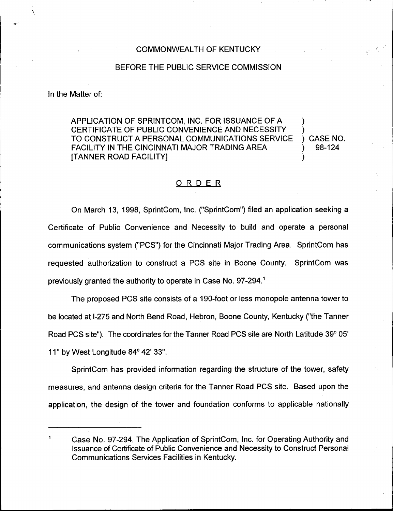## COMMONWEALTH OF KENTUCKY

## BEFORE THE PUBLIC SERVICE COMMISSION

In the Matter of:

APPLICATION OF SPRINTCOM, INC. FOR ISSUANCE OF A ) CERTIFICATE OF PUBLIC CONVENIENCE AND NECESSITY TO CONSTRUCT A PERSONAL COMMUNICATIONS SERVICE ) CASE NO.<br>FACILITY IN THE CINCINNATI MAJOR TRADING AREA  $\qquad \qquad$  ) 98-124 FACILITY IN THE CINCINNATI MAJOR TRADING AREA [TANNER ROAD FACILITYj )

## ORDER

On March 13, 1998, SprintCom, Inc. ("SprintCom") filed an application seeking a Certificate of Public Convenience and Necessity to build and operate a personal communications system ("PCS") for the Cincinnati Major Trading Area. SprintCom has requested authorization to construct a PCS site in Boone County. SprintCom was previously granted the authority to operate in Case No. 97-294."

The proposed PCS site consists of a 190-foot or less monopole antenna tower to be located at l-275 and North Bend Road, Hebron, Boone County, Kentucky ("the Tanner Road PCS site"). The coordinates for the Tanner Road PCS site are North Latitude 39° 05' 11" by West Longitude 84° 42' 33".

SprintCom has provided information regarding the structure of the tower, safety measures, and antenna design criteria for the Tanner Road PCS site. Based upon the application, the design of the tower and foundation conforms to applicable nationally

<sup>1</sup> Case No. 97-294, The Application of SprintCom, Inc. for Operating Authority and Issuance of Certificate of Public Convenience and Necessity to Construct Personal Communications Services Facilities in Kentucky.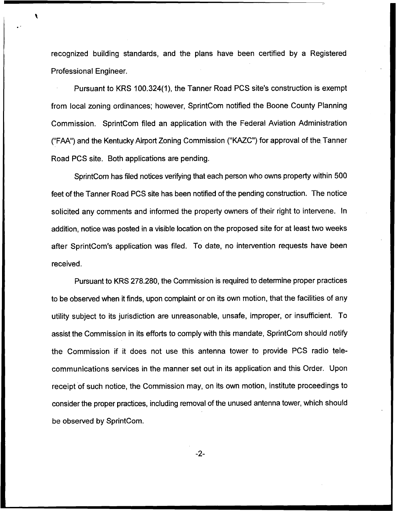recognized building standards, and the plans have been certified by a Registered Professional Engineer.

Pursuant to KRS 100.324(1), the Tanner Road PCS site's construction is exempt from local zoning ordinances; however, SprintCom notified the Boone County Planning Commission. SprintCom filed an application with the Federal Aviation Administration ("FAA") and the Kentucky Airport Zoning Commission ("KAZC") for approval of the Tanner Road PCS site. Both applications are pending.

SprintCom has filed notices verifying that each person who owns property within 500 feet of the Tanner Road PCS site has been notified of the pending construction. The notice solicited any comments and informed the property owners of their right to intervene. In addition, notice was posted in a visible location on the proposed site for at least two weeks after SprintCom's application was fited. To date, no intervention requests have been received.

Pursuant to KRS 278.280, the Commission is required to determine proper practices to be observed when it finds, upon complaint or on its own motion, that the facilities of any utility subject to its jurisdiction are unreasonable, unsafe, improper, or insufficient. To assist the Commission in its efforts to comply with this mandate, SprintCom should notify the Commission if it does not use this antenna tower to provide PCS radio telecommunications services in the manner set out in its application and this Order. Upon receipt of such notice, the Commission may, on its own motion, institute proceedings to consider the proper practices, including removal of the unused antenna tower, which should be observed by SprintCom.

 $-2-$